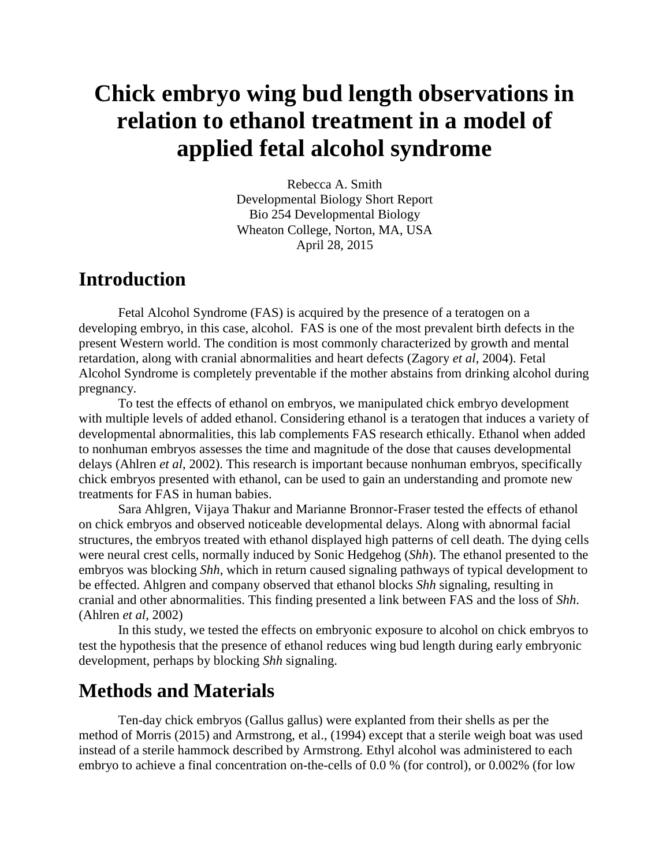# **Chick embryo wing bud length observations in relation to ethanol treatment in a model of applied fetal alcohol syndrome**

Rebecca A. Smith Developmental Biology Short Report Bio 254 Developmental Biology Wheaton College, Norton, MA, USA April 28, 2015

## **Introduction**

Fetal Alcohol Syndrome (FAS) is acquired by the presence of a teratogen on a developing embryo, in this case, alcohol. FAS is one of the most prevalent birth defects in the present Western world. The condition is most commonly characterized by growth and mental retardation, along with cranial abnormalities and heart defects (Zagory *et al*, 2004). Fetal Alcohol Syndrome is completely preventable if the mother abstains from drinking alcohol during pregnancy.

To test the effects of ethanol on embryos, we manipulated chick embryo development with multiple levels of added ethanol. Considering ethanol is a teratogen that induces a variety of developmental abnormalities, this lab complements FAS research ethically. Ethanol when added to nonhuman embryos assesses the time and magnitude of the dose that causes developmental delays (Ahlren *et al*, 2002). This research is important because nonhuman embryos, specifically chick embryos presented with ethanol, can be used to gain an understanding and promote new treatments for FAS in human babies.

Sara Ahlgren, Vijaya Thakur and Marianne Bronnor-Fraser tested the effects of ethanol on chick embryos and observed noticeable developmental delays. Along with abnormal facial structures, the embryos treated with ethanol displayed high patterns of cell death. The dying cells were neural crest cells, normally induced by Sonic Hedgehog (*Shh*). The ethanol presented to the embryos was blocking *Shh*, which in return caused signaling pathways of typical development to be effected. Ahlgren and company observed that ethanol blocks *Shh* signaling, resulting in cranial and other abnormalities. This finding presented a link between FAS and the loss of *Shh*. (Ahlren *et al*, 2002)

In this study, we tested the effects on embryonic exposure to alcohol on chick embryos to test the hypothesis that the presence of ethanol reduces wing bud length during early embryonic development, perhaps by blocking *Shh* signaling.

# **Methods and Materials**

Ten-day chick embryos (Gallus gallus) were explanted from their shells as per the method of Morris (2015) and Armstrong, et al., (1994) except that a sterile weigh boat was used instead of a sterile hammock described by Armstrong. Ethyl alcohol was administered to each embryo to achieve a final concentration on-the-cells of 0.0 % (for control), or 0.002% (for low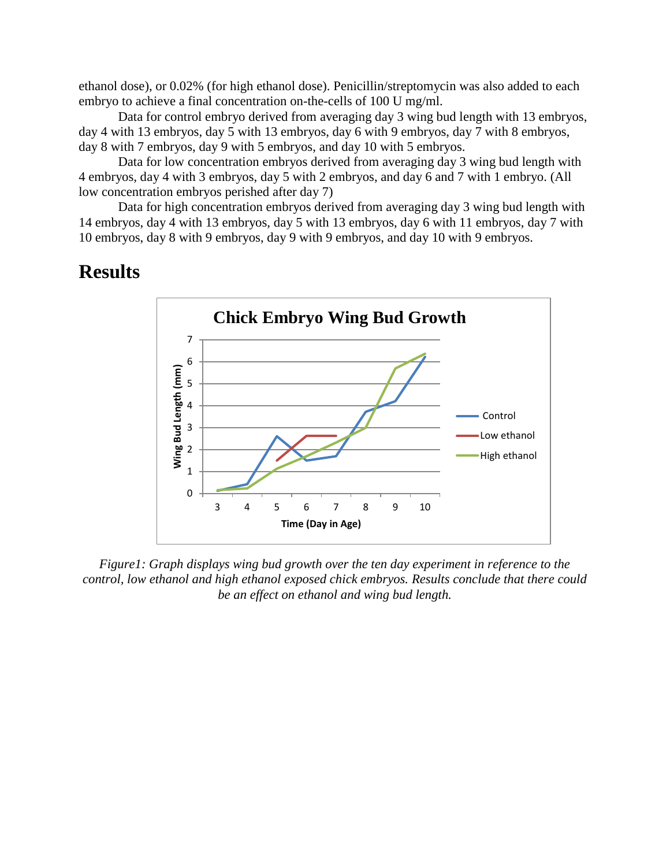ethanol dose), or 0.02% (for high ethanol dose). Penicillin/streptomycin was also added to each embryo to achieve a final concentration on-the-cells of 100 U mg/ml.

Data for control embryo derived from averaging day 3 wing bud length with 13 embryos, day 4 with 13 embryos, day 5 with 13 embryos, day 6 with 9 embryos, day 7 with 8 embryos, day 8 with 7 embryos, day 9 with 5 embryos, and day 10 with 5 embryos.

Data for low concentration embryos derived from averaging day 3 wing bud length with 4 embryos, day 4 with 3 embryos, day 5 with 2 embryos, and day 6 and 7 with 1 embryo. (All low concentration embryos perished after day 7)

Data for high concentration embryos derived from averaging day 3 wing bud length with 14 embryos, day 4 with 13 embryos, day 5 with 13 embryos, day 6 with 11 embryos, day 7 with 10 embryos, day 8 with 9 embryos, day 9 with 9 embryos, and day 10 with 9 embryos.

#### **Results**



*Figure1: Graph displays wing bud growth over the ten day experiment in reference to the control, low ethanol and high ethanol exposed chick embryos. Results conclude that there could be an effect on ethanol and wing bud length.*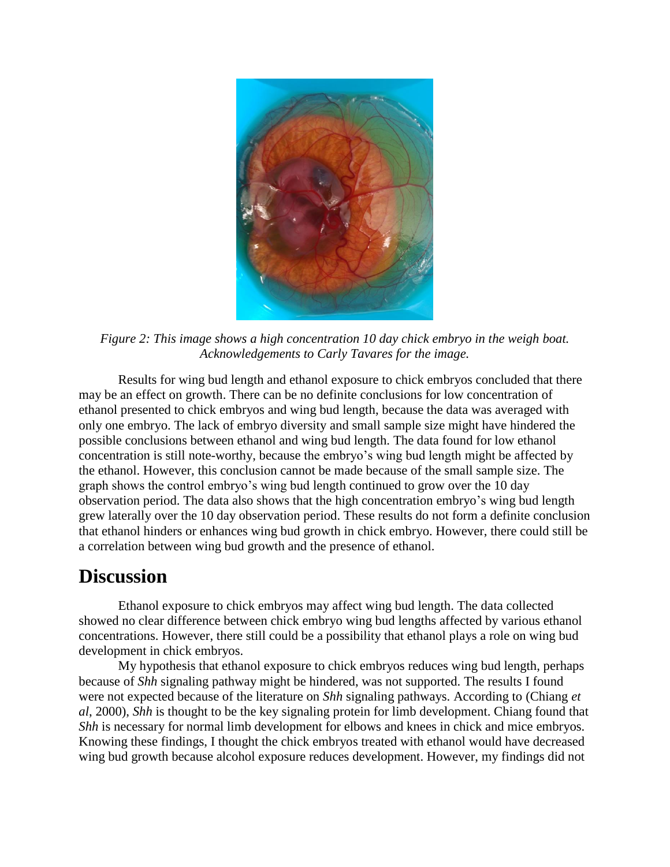

*Figure 2: This image shows a high concentration 10 day chick embryo in the weigh boat. Acknowledgements to Carly Tavares for the image.* 

Results for wing bud length and ethanol exposure to chick embryos concluded that there may be an effect on growth. There can be no definite conclusions for low concentration of ethanol presented to chick embryos and wing bud length, because the data was averaged with only one embryo. The lack of embryo diversity and small sample size might have hindered the possible conclusions between ethanol and wing bud length. The data found for low ethanol concentration is still note-worthy, because the embryo's wing bud length might be affected by the ethanol. However, this conclusion cannot be made because of the small sample size. The graph shows the control embryo's wing bud length continued to grow over the 10 day observation period. The data also shows that the high concentration embryo's wing bud length grew laterally over the 10 day observation period. These results do not form a definite conclusion that ethanol hinders or enhances wing bud growth in chick embryo. However, there could still be a correlation between wing bud growth and the presence of ethanol.

## **Discussion**

Ethanol exposure to chick embryos may affect wing bud length. The data collected showed no clear difference between chick embryo wing bud lengths affected by various ethanol concentrations. However, there still could be a possibility that ethanol plays a role on wing bud development in chick embryos.

My hypothesis that ethanol exposure to chick embryos reduces wing bud length, perhaps because of *Shh* signaling pathway might be hindered, was not supported. The results I found were not expected because of the literature on *Shh* signaling pathways. According to (Chiang *et al*, 2000), *Shh* is thought to be the key signaling protein for limb development. Chiang found that *Shh* is necessary for normal limb development for elbows and knees in chick and mice embryos. Knowing these findings, I thought the chick embryos treated with ethanol would have decreased wing bud growth because alcohol exposure reduces development. However, my findings did not